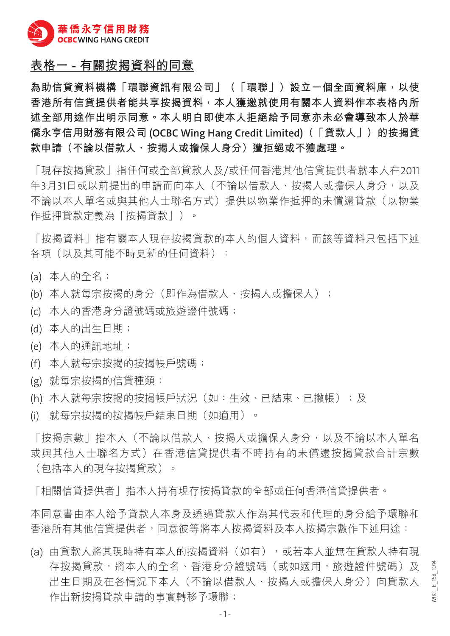

## **表格一 - 有關按揭資料的同意**

**為助信貸資料機構「環聯資訊有限公司」(「環聯」)設立一個全面資料庫,以使 香港所有信貸提供者能共享按揭資料,本人獲邀就使用有關本人資料作本表格內所 述全部用途作出明示同意。本人明白即使本人拒絕給予同意亦未必會導致本人於華 僑永亨信用財務有限公司 (OCBC Wing Hang Credit Limited)(「貸款人」)的按揭貸 款申請(不論以借款人、按揭人或擔保人身分)遭拒絕或不獲處理。**

「現存按揭貸款」指任何或全部貸款人及/或任何香港其他信貸提供者就本人在2011 年3月31日或以前提出的申請而向本人(不論以借款人、按揭人或擔保人身分,以及 不論以本人單名或與其他人士聯名方式)提供以物業作抵押的未償還貸款(以物業 作抵押貸款定義為「按揭貸款|)。

「按揭資料」指有關本人現存按揭貸款的本人的個人資料,而該等資料只包括下述 各項(以及其可能不時更新的任何資料):

- (a) 本人的全名;
- (b) 本人就每宗按揭的身分 (即作為借款人、按揭人或擔保人);
- (c) 本人的香港身分證號碼或旅遊證件號碼;
- (d) 本人的出生日期;
- (e) 本人的通訊地址;
- (f) 本人就每宗按揭的按揭帳戶號碼;
- (g) 就每宗按揭的信貸種類;
- (h) 本人就每宗按揭的按揭帳戶狀況(如:生效、已結束、已撇帳);及
- (i) 就每宗按揭的按揭帳戶結束日期(如適用)。

「按揭宗數」指本人(不論以借款人、按揭人或擔保人身分,以及不論以本人單名 或與其他人十聯名方式)在香港信貸提供者不時持有的未償還按揭貸款合計宗數 (包括本人的現存按揭貸款)。

「相關信貸提供者」指本人持有現存按揭貸款的全部或任何香港信貸提供者。

本同意書由本人給予貸款人本身及透過貸款人作為其代表和代理的身分給予環聯和 香港所有其他信貸提供者,同意彼等將本人按揭資料及本人按揭宗數作下述用途:

(a) 由貸款人將其現時持有本人的按揭資料(如有),或若本人並無在貸款人持有現 存按揭貸款,將本人的全名、香港身分證號碼(或如適用,旅遊證件號碼)及 出生日期及在各情況下本人(不論以借款人、按揭人或擔保人身分)向貸款人 作出新按揭貸款申請的事實轉移予環聯;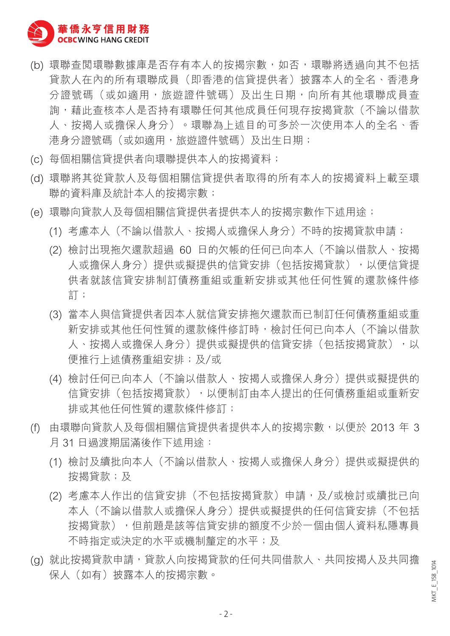

- (b) 環聯杳閱環聯數據庫是否存有本人的按揭宗數,如否,環聯將透過向其不包括 貸款人在內的所有環聯成員(即香港的信貸提供者)披露本人的全名、香港身 分證號碼(或如適用,旅遊證件號碼)及出生日期,向所有其他環聯成員杳 詢,藉此杳核本人是否持有環聯任何其他成員任何現存按揭貸款(不論以借款 人、按揭人或擔保人身分)。環聯為上述目的可多於一次使用本人的全名、香 港身分證號碼(或如適用,旅遊證件號碼)及出生日期;
- (c) 每個相關信貸提供者向環聯提供本人的按揭資料;
- (d) 環聯將其從貸款人及每個相關信貸提供者取得的所有本人的按揭資料上載至環 聯的資料庫及統計本人的按揭宗數;
- (e) 環聯向貸款人及每個相關信貸提供者提供本人的按揭宗數作下述用途;
	- (1) 考慮本人(不論以借款人、按揭人或擔保人身分)不時的按揭貸款申請;
	- (2) 檢討出現拖欠還款超過 60 日的欠帳的任何已向本人(不論以借款人、按揭 人或擔保人身分)提供或擬提供的信貸安排(包括按揭貸款),以便信貸提 供者就該信貸安排制訂債務重組或重新安排或其他任何性質的還款條件修 訂;
	- (3) 當本人與信貸提供者因本人就信貸安排拖欠還款而已制訂任何債務重組或重 新安排或其他任何性質的還款條件修訂時,檢討任何已向本人(不論以借款 人、按揭人或擔保人身分)提供或擬提供的信貸安排(包括按揭貸款),以 便推行上述債務重組安排;及**/**或
	- (4) 檢討任何已向本人(不論以借款人、按揭人或擔保人身分)提供或擬提供的 信貸安排(包括按揭貸款),以便制訂由本人提出的任何債務重組或重新安 排或其他任何性質的還款條件修訂;
- (f) 由環聯向貸款人及每個相關信貸提供者提供本人的按揭宗數,以便於 2013 年 3 月 31 日過渡期屆滿後作下述用途:
	- (1) 檢討及續批向本人(不論以借款人、按揭人或擔保人身分)提供或擬提供的 按揭貸款;及
	- (2) 考慮本人作出的信貸安排(不包括按揭貸款)申請,及/或檢討或續批已向 本人(不論以借款人或擔保人身分)提供或擬提供的任何信貸安排(不包括 按揭貸款),但前題是該等信貸安排的額度不少於一個由個人資料私隱專員 不時指定或決定的水平或機制釐定的水平;及
- (a) 就此按揭貸款申請,貸款人向按揭貸款的任何共同借款人、共同按揭人及共同擔 保人(如有)披露本人的按揭宗數。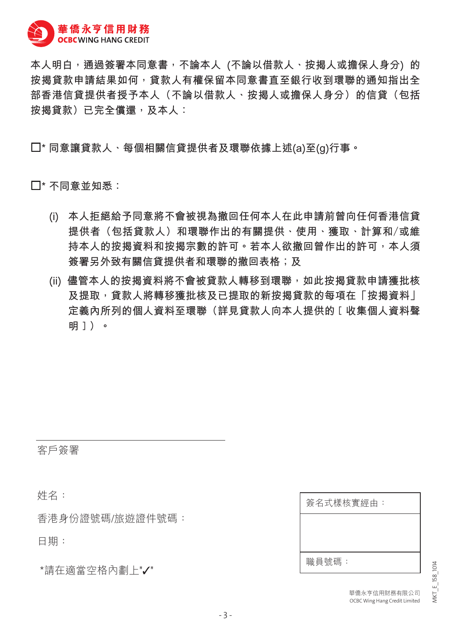

**本人明白,通過簽署本同意書,不論本人 (不論以借款人、按揭人或擔保人身分) 的 按揭貸款申請結果如何,貸款人有權保留本同意書直至銀行收到環聯的通知指出全 部香港信貸提供者授予本人(不論以借款人、按揭人或擔保人身分)的信貸(包括 按揭貸款)已完全償還,及本人:**

**\* 同意讓貸款人、每個相關信貸提供者及環聯依據上述(a)至(g)行事。** 

**\* 不同意並知悉:**

- **(i) 本人拒絕給予同意將不會被視為撤回任何本人在此申請前曾向任何香港信貸 提供者(包括貸款人)和環聯作出的有關提供、使用、獲取、計算和/或維 持本人的按揭資料和按揭宗數的許可。若本人欲撤回曾作出的許可,本人須 簽署另外致有關信貸提供者和環聯的撤回表格;及**
- **(ii) 儘管本人的按揭資料將不會被貸款人轉移到環聯,如此按揭貸款申請獲批核 及提取,貸款人將轉移獲批核及已提取的新按揭貸款的每項在「按揭資料」 定義內所列的個人資料至環聯(詳見貸款人向本人提供的[收集個人資料聲 明])。**

客戶簽署

姓名:

香港身份證號碼/旅遊證件號碼:

日期:

\*請在適當空格內劃上"✓"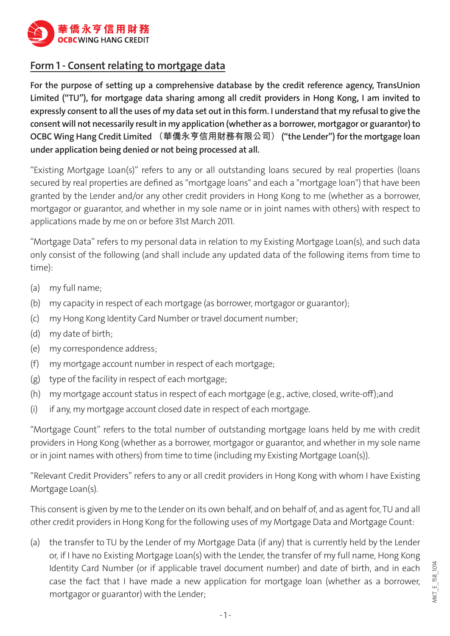

## **Form 1 - Consent relating to mortgage data**

**For the purpose of setting up a comprehensive database by the credit reference agency, TransUnion Limited ("TU"), for mortgage data sharing among all credit providers in Hong Kong, I am invited to expressly consent to all the uses of my data set out in this form. I understand that my refusal to give the consent will not necessarily result in my application (whether as a borrower, mortgagor or guarantor) to OCBC Wing Hang Credit Limited (華僑永亨信用財務有限公司) ("the Lender") for the mortgage loan under application being denied or not being processed at all.**

"Existing Mortgage Loan(s)" refers to any or all outstanding loans secured by real properties (loans secured by real properties are defined as "mortgage loans" and each a "mortgage loan") that have been granted by the Lender and/or any other credit providers in Hong Kong to me (whether as a borrower, mortgagor or guarantor, and whether in my sole name or in joint names with others) with respect to applications made by me on or before 31st March 2011.

"Mortgage Data" refers to my personal data in relation to my Existing Mortgage Loan(s), and such data only consist of the following (and shall include any updated data of the following items from time to time):

- (a) my full name;
- (b) my capacity in respect of each mortgage (as borrower, mortgagor or guarantor);
- (c) my Hong Kong Identity Card Number or travel document number;
- (d) my date of birth;
- (e) my correspondence address;
- (f) my mortgage account number in respect of each mortgage;
- (g) type of the facility in respect of each mortgage;
- (h) my mortgage account status in respect of each mortgage (e.g., active, closed, write-off);and
- (i) if any, my mortgage account closed date in respect of each mortgage.

"Mortgage Count" refers to the total number of outstanding mortgage loans held by me with credit providers in Hong Kong (whether as a borrower, mortgagor or guarantor, and whether in my sole name or in joint names with others) from time to time (including my Existing Mortgage Loan(s)).

"Relevant Credit Providers" refers to any or all credit providers in Hong Kong with whom I have Existing Mortgage Loan(s).

This consent is given by me to the Lender on its own behalf, and on behalf of, and as agent for, TU and all other credit providers in Hong Kong for the following uses of my Mortgage Data and Mortgage Count:

(a) the transfer to TU by the Lender of my Mortgage Data (if any) that is currently held by the Lender or, if I have no Existing Mortgage Loan(s) with the Lender, the transfer of my full name, Hong Kong Identity Card Number (or if applicable travel document number) and date of birth, and in each case the fact that I have made a new application for mortgage loan (whether as a borrower, mortgagor or guarantor) with the Lender;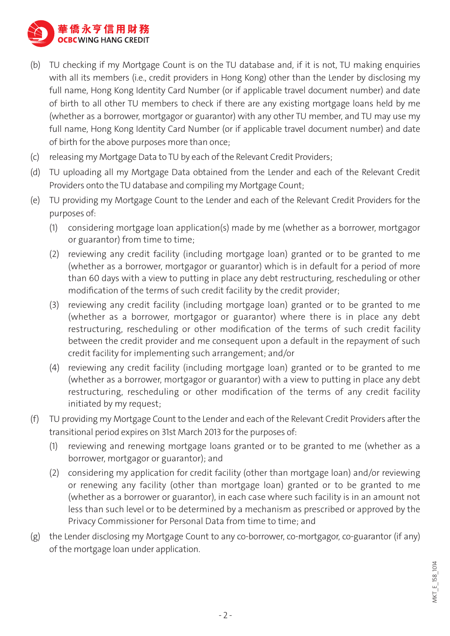

- (b) TU checking if my Mortgage Count is on the TU database and, if it is not, TU making enquiries with all its members (i.e., credit providers in Hong Kong) other than the Lender by disclosing my full name, Hong Kong Identity Card Number (or if applicable travel document number) and date of birth to all other TU members to check if there are any existing mortgage loans held by me (whether as a borrower, mortgagor or guarantor) with any other TU member, and TU may use my full name, Hong Kong Identity Card Number (or if applicable travel document number) and date of birth for the above purposes more than once;
- (c) releasing my Mortgage Data to TU by each of the Relevant Credit Providers;
- (d) TU uploading all my Mortgage Data obtained from the Lender and each of the Relevant Credit Providers onto the TU database and compiling my Mortgage Count;
- (e) TU providing my Mortgage Count to the Lender and each of the Relevant Credit Providers for the purposes of:
	- (1) considering mortgage loan application(s) made by me (whether as a borrower, mortgagor or guarantor) from time to time;
	- (2) reviewing any credit facility (including mortgage loan) granted or to be granted to me (whether as a borrower, mortgagor or guarantor) which is in default for a period of more than 60 days with a view to putting in place any debt restructuring, rescheduling or other modification of the terms of such credit facility by the credit provider;
	- (3) reviewing any credit facility (including mortgage loan) granted or to be granted to me (whether as a borrower, mortgagor or guarantor) where there is in place any debt restructuring, rescheduling or other modification of the terms of such credit facility between the credit provider and me consequent upon a default in the repayment of such credit facility for implementing such arrangement; and/or
	- (4) reviewing any credit facility (including mortgage loan) granted or to be granted to me (whether as a borrower, mortgagor or guarantor) with a view to putting in place any debt restructuring, rescheduling or other modification of the terms of any credit facility initiated by my request;
- (f) TU providing my Mortgage Count to the Lender and each of the Relevant Credit Providers after the transitional period expires on 31st March 2013 for the purposes of:
	- (1) reviewing and renewing mortgage loans granted or to be granted to me (whether as a borrower, mortgagor or guarantor); and
	- (2) considering my application for credit facility (other than mortgage loan) and/or reviewing or renewing any facility (other than mortgage loan) granted or to be granted to me (whether as a borrower or guarantor), in each case where such facility is in an amount not less than such level or to be determined by a mechanism as prescribed or approved by the Privacy Commissioner for Personal Data from time to time; and
- (g) the Lender disclosing my Mortgage Count to any co-borrower, co-mortgagor, co-guarantor (if any) of the mortgage loan under application.